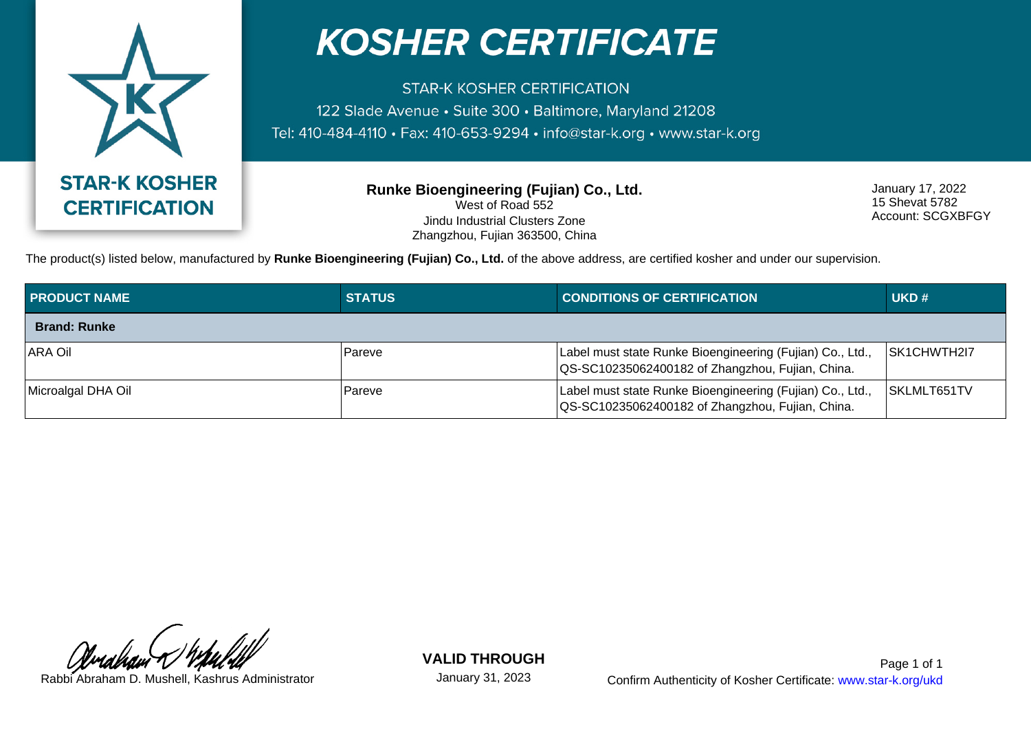

## **KOSHER CERTIFICATE**

**STAR-K KOSHER CERTIFICATION** 122 Slade Avenue · Suite 300 · Baltimore, Maryland 21208 Tel: 410-484-4110 · Fax: 410-653-9294 · info@star-k.org · www.star-k.org

> **Runke Bioengineering (Fujian) Co., Ltd.** West of Road 552 Jindu Industrial Clusters Zone Zhangzhou, Fujian 363500, China

January 17, 2022 15 Shevat 5782 Account: SCGXBFGY

The product(s) listed below, manufactured by **Runke Bioengineering (Fujian) Co., Ltd.** of the above address, are certified kosher and under our supervision.

| <b>PRODUCT NAME</b> | <b>STATUS</b> | <b>CONDITIONS OF CERTIFICATION</b>                                                                            | UKD#         |
|---------------------|---------------|---------------------------------------------------------------------------------------------------------------|--------------|
| <b>Brand: Runke</b> |               |                                                                                                               |              |
| <b>ARA Oil</b>      | Pareve        | Label must state Runke Bioengineering (Fujian) Co., Ltd.,<br>QS-SC10235062400182 of Zhangzhou, Fujian, China. | ISK1CHWTH2I7 |
| Microalgal DHA Oil  | Pareve        | Label must state Runke Bioengineering (Fujian) Co., Ltd.,<br>QS-SC10235062400182 of Zhangzhou, Fujian, China. | SKLMLT651TV  |

**VALID THROUGH**